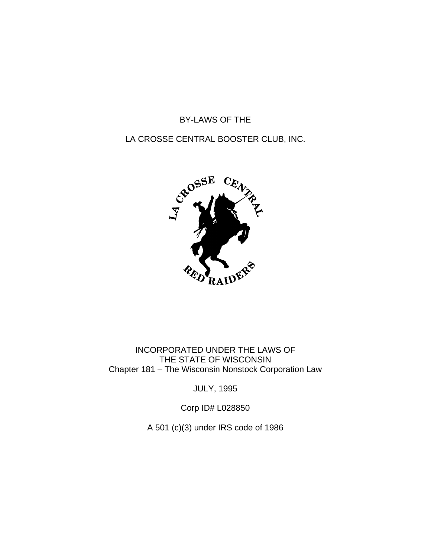## BY-LAWS OF THE

## LA CROSSE CENTRAL BOOSTER CLUB, INC.



INCORPORATED UNDER THE LAWS OF THE STATE OF WISCONSIN Chapter 181 – The Wisconsin Nonstock Corporation Law

JULY, 1995

Corp ID# L028850

A 501 (c)(3) under IRS code of 1986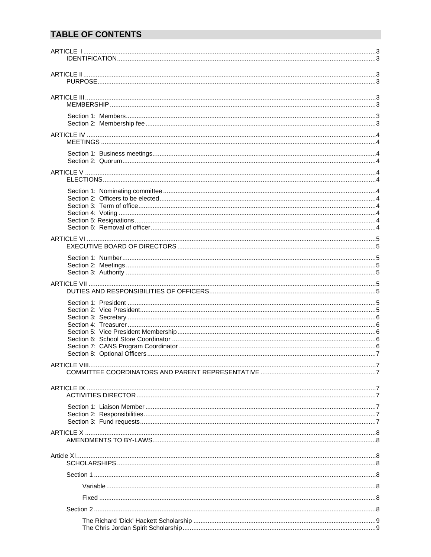# **TABLE OF CONTENTS**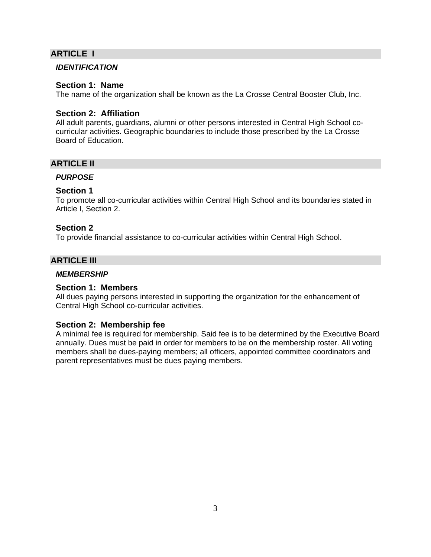## **ARTICLE I**

#### *IDENTIFICATION*

#### **Section 1: Name**

The name of the organization shall be known as the La Crosse Central Booster Club, Inc.

#### **Section 2: Affiliation**

All adult parents, guardians, alumni or other persons interested in Central High School cocurricular activities. Geographic boundaries to include those prescribed by the La Crosse Board of Education.

## **ARTICLE II**

#### *PURPOSE*

#### **Section 1**

To promote all co-curricular activities within Central High School and its boundaries stated in Article I, Section 2.

#### **Section 2**

To provide financial assistance to co-curricular activities within Central High School.

## **ARTICLE III**

#### *MEMBERSHIP*

## **Section 1: Members**

All dues paying persons interested in supporting the organization for the enhancement of Central High School co-curricular activities.

## **Section 2: Membership fee**

A minimal fee is required for membership. Said fee is to be determined by the Executive Board annually. Dues must be paid in order for members to be on the membership roster. All voting members shall be dues-paying members; all officers, appointed committee coordinators and parent representatives must be dues paying members.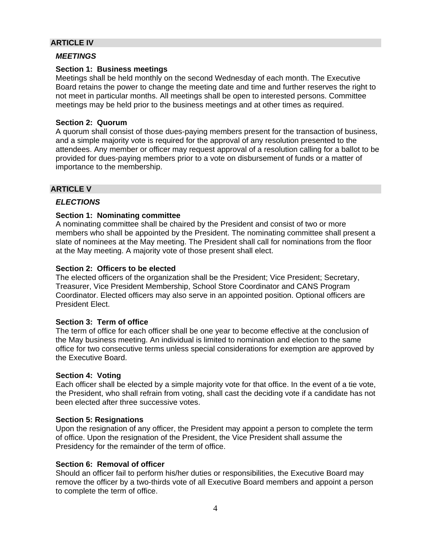## **ARTICLE IV**

#### *MEETINGS*

#### **Section 1: Business meetings**

Meetings shall be held monthly on the second Wednesday of each month. The Executive Board retains the power to change the meeting date and time and further reserves the right to not meet in particular months. All meetings shall be open to interested persons. Committee meetings may be held prior to the business meetings and at other times as required.

#### **Section 2: Quorum**

A quorum shall consist of those dues-paying members present for the transaction of business, and a simple majority vote is required for the approval of any resolution presented to the attendees. Any member or officer may request approval of a resolution calling for a ballot to be provided for dues-paying members prior to a vote on disbursement of funds or a matter of importance to the membership.

## **ARTICLE V**

## *ELECTIONS*

#### **Section 1: Nominating committee**

A nominating committee shall be chaired by the President and consist of two or more members who shall be appointed by the President. The nominating committee shall present a slate of nominees at the May meeting. The President shall call for nominations from the floor at the May meeting. A majority vote of those present shall elect.

#### **Section 2: Officers to be elected**

The elected officers of the organization shall be the President; Vice President; Secretary, Treasurer, Vice President Membership, School Store Coordinator and CANS Program Coordinator. Elected officers may also serve in an appointed position. Optional officers are President Elect.

#### **Section 3: Term of office**

The term of office for each officer shall be one year to become effective at the conclusion of the May business meeting. An individual is limited to nomination and election to the same office for two consecutive terms unless special considerations for exemption are approved by the Executive Board.

#### **Section 4: Voting**

Each officer shall be elected by a simple majority vote for that office. In the event of a tie vote, the President, who shall refrain from voting, shall cast the deciding vote if a candidate has not been elected after three successive votes.

#### **Section 5: Resignations**

Upon the resignation of any officer, the President may appoint a person to complete the term of office. Upon the resignation of the President, the Vice President shall assume the Presidency for the remainder of the term of office.

#### **Section 6: Removal of officer**

Should an officer fail to perform his/her duties or responsibilities, the Executive Board may remove the officer by a two-thirds vote of all Executive Board members and appoint a person to complete the term of office.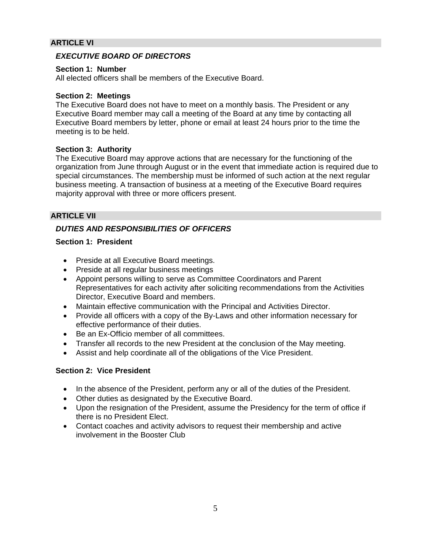## **ARTICLE VI**

## *EXECUTIVE BOARD OF DIRECTORS*

#### **Section 1: Number**

All elected officers shall be members of the Executive Board.

#### **Section 2: Meetings**

The Executive Board does not have to meet on a monthly basis. The President or any Executive Board member may call a meeting of the Board at any time by contacting all Executive Board members by letter, phone or email at least 24 hours prior to the time the meeting is to be held.

## **Section 3: Authority**

The Executive Board may approve actions that are necessary for the functioning of the organization from June through August or in the event that immediate action is required due to special circumstances. The membership must be informed of such action at the next regular business meeting. A transaction of business at a meeting of the Executive Board requires majority approval with three or more officers present.

## **ARTICLE VII**

## *DUTIES AND RESPONSIBILITIES OF OFFICERS*

## **Section 1: President**

- Preside at all Executive Board meetings.
- Preside at all regular business meetings
- Appoint persons willing to serve as Committee Coordinators and Parent Representatives for each activity after soliciting recommendations from the Activities Director, Executive Board and members.
- Maintain effective communication with the Principal and Activities Director.
- Provide all officers with a copy of the By-Laws and other information necessary for effective performance of their duties.
- Be an Ex-Officio member of all committees.
- Transfer all records to the new President at the conclusion of the May meeting.
- Assist and help coordinate all of the obligations of the Vice President.

## **Section 2: Vice President**

- In the absence of the President, perform any or all of the duties of the President.
- Other duties as designated by the Executive Board.
- Upon the resignation of the President, assume the Presidency for the term of office if there is no President Elect.
- Contact coaches and activity advisors to request their membership and active involvement in the Booster Club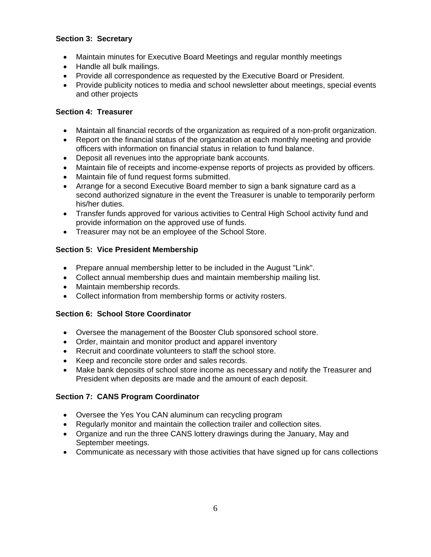## **Section 3: Secretary**

- Maintain minutes for Executive Board Meetings and regular monthly meetings
- Handle all bulk mailings.
- Provide all correspondence as requested by the Executive Board or President.
- Provide publicity notices to media and school newsletter about meetings, special events and other projects

## **Section 4: Treasurer**

- Maintain all financial records of the organization as required of a non-profit organization.
- Report on the financial status of the organization at each monthly meeting and provide officers with information on financial status in relation to fund balance.
- Deposit all revenues into the appropriate bank accounts.
- Maintain file of receipts and income-expense reports of projects as provided by officers.
- Maintain file of fund request forms submitted.
- Arrange for a second Executive Board member to sign a bank signature card as a second authorized signature in the event the Treasurer is unable to temporarily perform his/her duties.
- Transfer funds approved for various activities to Central High School activity fund and provide information on the approved use of funds.
- Treasurer may not be an employee of the School Store.

## **Section 5: Vice President Membership**

- Prepare annual membership letter to be included in the August "Link".
- Collect annual membership dues and maintain membership mailing list.
- Maintain membership records.
- Collect information from membership forms or activity rosters.

## **Section 6: School Store Coordinator**

- Oversee the management of the Booster Club sponsored school store.
- Order, maintain and monitor product and apparel inventory
- Recruit and coordinate volunteers to staff the school store.
- Keep and reconcile store order and sales records.
- Make bank deposits of school store income as necessary and notify the Treasurer and President when deposits are made and the amount of each deposit.

## **Section 7: CANS Program Coordinator**

- Oversee the Yes You CAN aluminum can recycling program
- Regularly monitor and maintain the collection trailer and collection sites.
- Organize and run the three CANS lottery drawings during the January, May and September meetings.
- Communicate as necessary with those activities that have signed up for cans collections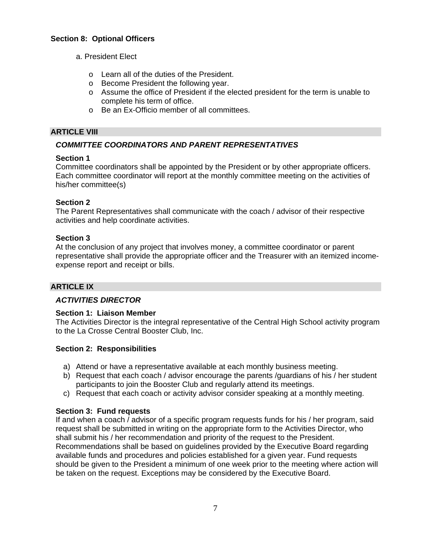## **Section 8: Optional Officers**

- a. President Elect
	- o Learn all of the duties of the President.
	- o Become President the following year.
	- o Assume the office of President if the elected president for the term is unable to complete his term of office.
	- o Be an Ex-Officio member of all committees.

#### **ARTICLE VIII**

## *COMMITTEE COORDINATORS AND PARENT REPRESENTATIVES*

#### **Section 1**

Committee coordinators shall be appointed by the President or by other appropriate officers. Each committee coordinator will report at the monthly committee meeting on the activities of his/her committee(s)

#### **Section 2**

The Parent Representatives shall communicate with the coach / advisor of their respective activities and help coordinate activities.

#### **Section 3**

At the conclusion of any project that involves money, a committee coordinator or parent representative shall provide the appropriate officer and the Treasurer with an itemized incomeexpense report and receipt or bills.

## **ARTICLE IX**

## *ACTIVITIES DIRECTOR*

#### **Section 1: Liaison Member**

The Activities Director is the integral representative of the Central High School activity program to the La Crosse Central Booster Club, Inc.

#### **Section 2: Responsibilities**

- a) Attend or have a representative available at each monthly business meeting.
- b) Request that each coach / advisor encourage the parents /guardians of his / her student participants to join the Booster Club and regularly attend its meetings.
- c) Request that each coach or activity advisor consider speaking at a monthly meeting.

## **Section 3: Fund requests**

If and when a coach / advisor of a specific program requests funds for his / her program, said request shall be submitted in writing on the appropriate form to the Activities Director, who shall submit his / her recommendation and priority of the request to the President. Recommendations shall be based on guidelines provided by the Executive Board regarding available funds and procedures and policies established for a given year. Fund requests should be given to the President a minimum of one week prior to the meeting where action will be taken on the request. Exceptions may be considered by the Executive Board.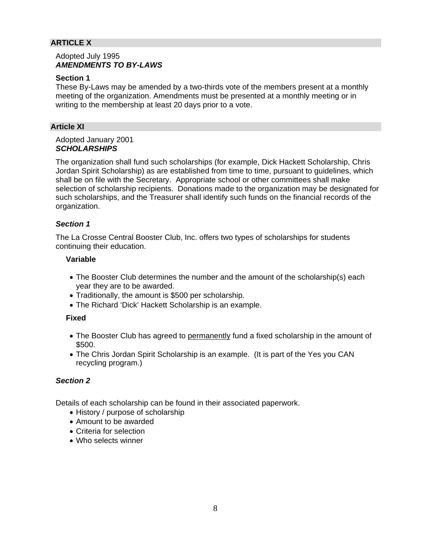## **ARTICLE X**

#### Adopted July 1995 *AMENDMENTS TO BY-LAWS*

#### **Section 1**

These By-Laws may be amended by a two-thirds vote of the members present at a monthly meeting of the organization. Amendments must be presented at a monthly meeting or in writing to the membership at least 20 days prior to a vote.

#### **Article XI**

#### Adopted January 2001 *SCHOLARSHIPS*

The organization shall fund such scholarships (for example, Dick Hackett Scholarship, Chris Jordan Spirit Scholarship) as are established from time to time, pursuant to guidelines, which shall be on file with the Secretary. Appropriate school or other committees shall make selection of scholarship recipients. Donations made to the organization may be designated for such scholarships, and the Treasurer shall identify such funds on the financial records of the organization.

## *Section 1*

The La Crosse Central Booster Club, Inc. offers two types of scholarships for students continuing their education.

### **Variable**

- The Booster Club determines the number and the amount of the scholarship(s) each year they are to be awarded.
- Traditionally, the amount is \$500 per scholarship.
- The Richard 'Dick' Hackett Scholarship is an example.

#### **Fixed**

- The Booster Club has agreed to permanently fund a fixed scholarship in the amount of \$500.
- The Chris Jordan Spirit Scholarship is an example. (It is part of the Yes you CAN recycling program.)

## *Section 2*

Details of each scholarship can be found in their associated paperwork.

- History / purpose of scholarship
- Amount to be awarded
- Criteria for selection
- Who selects winner